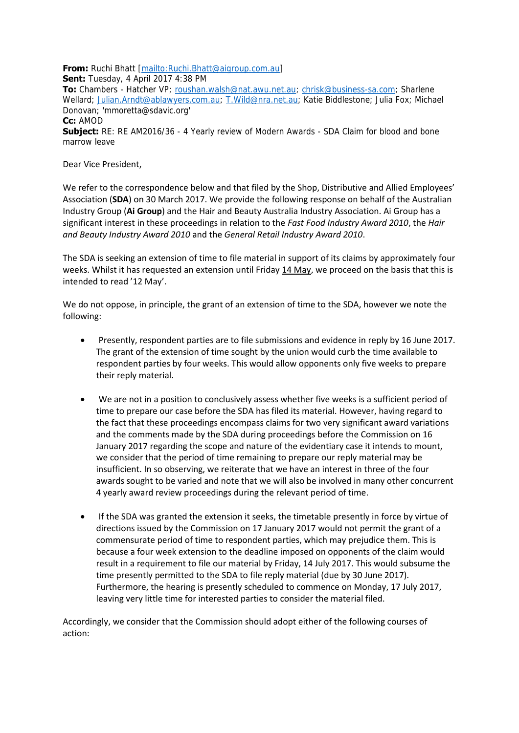**From:** Ruchi Bhatt [mailto: Ruchi. Bhatt@aigroup.com.au]

**Sent:** Tuesday, 4 April 2017 4:38 PM

**To:** Chambers - Hatcher VP; [roushan.walsh@nat.awu.net.au;](mailto:roushan.walsh@nat.awu.net.au) [chrisk@business-sa.com;](mailto:chrisk@business-sa.com) Sharlene Wellard; [Julian.Arndt@ablawyers.com.au;](mailto:Julian.Arndt@ablawyers.com.au) [T.Wild@nra.net.au;](mailto:T.Wild@nra.net.au) Katie Biddlestone; Julia Fox; Michael Donovan; 'mmoretta@sdavic.org'

**Cc:** AMOD

**Subject:** RE: RE AM2016/36 - 4 Yearly review of Modern Awards - SDA Claim for blood and bone marrow leave

Dear Vice President,

We refer to the correspondence below and that filed by the Shop, Distributive and Allied Employees' Association (**SDA**) on 30 March 2017. We provide the following response on behalf of the Australian Industry Group (**Ai Group**) and the Hair and Beauty Australia Industry Association. Ai Group has a significant interest in these proceedings in relation to the *Fast Food Industry Award 2010*, the *Hair and Beauty Industry Award 2010* and the *General Retail Industry Award 2010*.

The SDA is seeking an extension of time to file material in support of its claims by approximately four weeks. Whilst it has requested an extension until Friday 14 May, we proceed on the basis that this is intended to read '12 May'.

We do not oppose, in principle, the grant of an extension of time to the SDA, however we note the following:

- Presently, respondent parties are to file submissions and evidence in reply by 16 June 2017. The grant of the extension of time sought by the union would curb the time available to respondent parties by four weeks. This would allow opponents only five weeks to prepare their reply material.
- We are not in a position to conclusively assess whether five weeks is a sufficient period of time to prepare our case before the SDA has filed its material. However, having regard to the fact that these proceedings encompass claims for two very significant award variations and the comments made by the SDA during proceedings before the Commission on 16 January 2017 regarding the scope and nature of the evidentiary case it intends to mount, we consider that the period of time remaining to prepare our reply material may be insufficient. In so observing, we reiterate that we have an interest in three of the four awards sought to be varied and note that we will also be involved in many other concurrent 4 yearly award review proceedings during the relevant period of time.
- If the SDA was granted the extension it seeks, the timetable presently in force by virtue of directions issued by the Commission on 17 January 2017 would not permit the grant of a commensurate period of time to respondent parties, which may prejudice them. This is because a four week extension to the deadline imposed on opponents of the claim would result in a requirement to file our material by Friday, 14 July 2017. This would subsume the time presently permitted to the SDA to file reply material (due by 30 June 2017). Furthermore, the hearing is presently scheduled to commence on Monday, 17 July 2017, leaving very little time for interested parties to consider the material filed.

Accordingly, we consider that the Commission should adopt either of the following courses of action: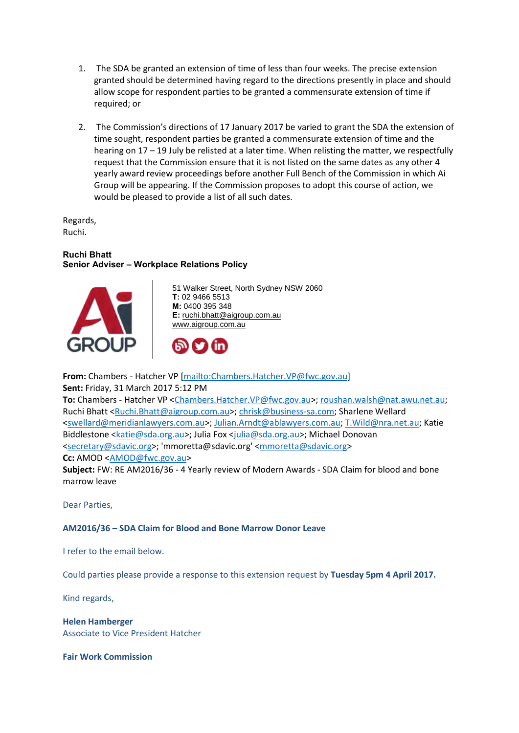- 1. The SDA be granted an extension of time of less than four weeks. The precise extension granted should be determined having regard to the directions presently in place and should allow scope for respondent parties to be granted a commensurate extension of time if required; or
- 2. The Commission's directions of 17 January 2017 be varied to grant the SDA the extension of time sought, respondent parties be granted a commensurate extension of time and the hearing on 17 – 19 July be relisted at a later time. When relisting the matter, we respectfully request that the Commission ensure that it is not listed on the same dates as any other 4 yearly award review proceedings before another Full Bench of the Commission in which Ai Group will be appearing. If the Commission proposes to adopt this course of action, we would be pleased to provide a list of all such dates.

Regards, Ruchi.

## **Ruchi Bhatt Senior Adviser – Workplace Relations Policy**



51 Walker Street, North Sydney NSW 2060 **T:** 02 9466 5513 **M:** 0400 395 348 **E:** [ruchi.bhatt@aigroup.com.au](mailto:ruchi.bhatt@aigroup.com.au) [www.aigroup.com.au](http://go.aigroup.com.au/home)



**From:** Chambers - Hatcher VP [\[mailto:Chambers.Hatcher.VP@fwc.gov.au\]](mailto:Chambers.Hatcher.VP@fwc.gov.au) **Sent:** Friday, 31 March 2017 5:12 PM

**To:** Chambers - Hatcher VP [<Chambers.Hatcher.VP@fwc.gov.au>](mailto:Chambers.Hatcher.VP@fwc.gov.au)[; roushan.walsh@nat.awu.net.au;](mailto:roushan.walsh@nat.awu.net.au) Ruchi Bhatt [<Ruchi.Bhatt@aigroup.com.au>](mailto:Ruchi.Bhatt@aigroup.com.au); [chrisk@business-sa.com;](mailto:chrisk@business-sa.com) Sharlene Wellard [<swellard@meridianlawyers.com.au>](mailto:swellard@meridianlawyers.com.au); [Julian.Arndt@ablawyers.com.au;](mailto:Julian.Arndt@ablawyers.com.au) [T.Wild@nra.net.au;](mailto:T.Wild@nra.net.au) Katie Biddlestone [<katie@sda.org.au>](mailto:katie@sda.org.au); Julia Fox [<julia@sda.org.au>](mailto:julia@sda.org.au); Michael Donovan [<secretary@sdavic.org>](mailto:secretary@sdavic.org); 'mmoretta@sdavic.org' [<mmoretta@sdavic.org>](mailto:mmoretta@sdavic.org) **Cc:** AMOD [<AMOD@fwc.gov.au>](mailto:AMOD@fwc.gov.au)

**Subject:** FW: RE AM2016/36 - 4 Yearly review of Modern Awards - SDA Claim for blood and bone marrow leave

Dear Parties,

## **AM2016/36 – SDA Claim for Blood and Bone Marrow Donor Leave**

I refer to the email below.

Could parties please provide a response to this extension request by **Tuesday 5pm 4 April 2017.**

Kind regards,

**Helen Hamberger**  Associate to Vice President Hatcher

**Fair Work Commission**